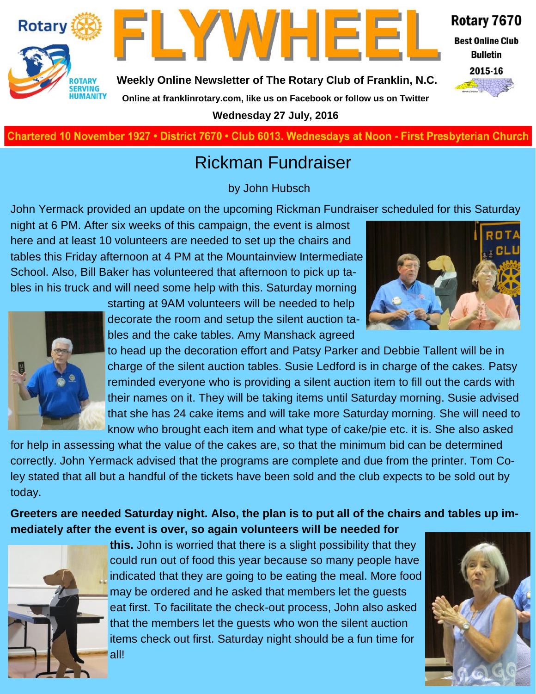



**Weekly Online Newsletter of The Rotary Club of Franklin, N.C.**

#### Rotary 7670

**Best Online Club Bulletin** 



**Online at franklinrotary.com, like us on Facebook or follow us on Twitter**

**Wednesday 27 July, 2016**

**Charted November 29, 1927 • District 7670 • Club 6013 Wednesdays at Noon - First Presbyterian Church**

# Rickman Fundraiser

by John Hubsch

John Yermack provided an update on the upcoming Rickman Fundraiser scheduled for this Saturday

night at 6 PM. After six weeks of this campaign, the event is almost here and at least 10 volunteers are needed to set up the chairs and tables this Friday afternoon at 4 PM at the Mountainview Intermediate School. Also, Bill Baker has volunteered that afternoon to pick up tables in his truck and will need some help with this. Saturday morning



starting at 9AM volunteers will be needed to help decorate the room and setup the silent auction tables and the cake tables. Amy Manshack agreed

to head up the decoration effort and Patsy Parker and Debbie Tallent will be in charge of the silent auction tables. Susie Ledford is in charge of the cakes. Patsy reminded everyone who is providing a silent auction item to fill out the cards with their names on it. They will be taking items until Saturday morning. Susie advised that she has 24 cake items and will take more Saturday morning. She will need to know who brought each item and what type of cake/pie etc. it is. She also asked

for help in assessing what the value of the cakes are, so that the minimum bid can be determined correctly. John Yermack advised that the programs are complete and due from the printer. Tom Coley stated that all but a handful of the tickets have been sold and the club expects to be sold out by today.

**Greeters are needed Saturday night. Also, the plan is to put all of the chairs and tables up immediately after the event is over, so again volunteers will be needed for** 



all!

**this.** John is worried that there is a slight possibility that they could run out of food this year because so many people have indicated that they are going to be eating the meal. More food may be ordered and he asked that members let the guests eat first. To facilitate the check-out process, John also asked that the members let the guests who won the silent auction items check out first. Saturday night should be a fun time for



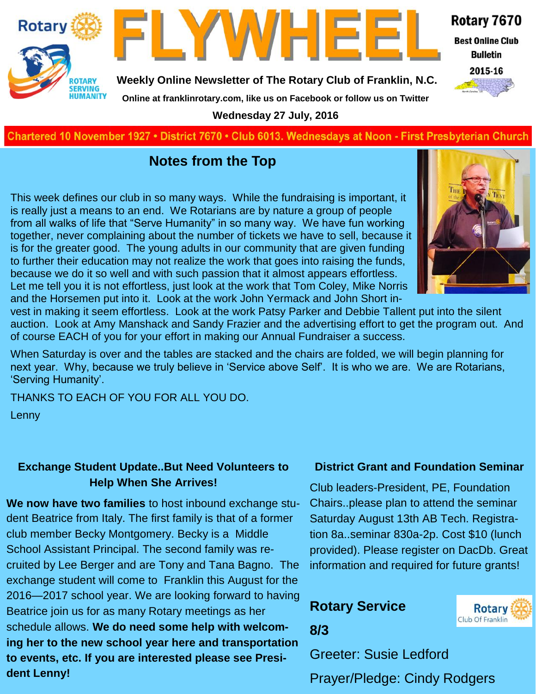

Rotary 7670

**Best Online Club Bulletin** 



**Weekly Online Newsletter of The Rotary Club of Franklin, N.C.**

**Online at franklinrotary.com, like us on Facebook or follow us on Twitter**

**Wednesday 27 July, 2016**

**Charted November 29, 1927 • District 7670 • Club 6013 Wednesdays at Noon - First Presbyterian Church**

### **Notes from the Top**

This week defines our club in so many ways. While the fundraising is important, it is really just a means to an end. We Rotarians are by nature a group of people from all walks of life that "Serve Humanity" in so many way. We have fun working together, never complaining about the number of tickets we have to sell, because it is for the greater good. The young adults in our community that are given funding to further their education may not realize the work that goes into raising the funds, because we do it so well and with such passion that it almost appears effortless. Let me tell you it is not effortless, just look at the work that Tom Coley, Mike Norris and the Horsemen put into it. Look at the work John Yermack and John Short in-



vest in making it seem effortless. Look at the work Patsy Parker and Debbie Tallent put into the silent auction. Look at Amy Manshack and Sandy Frazier and the advertising effort to get the program out. And of course EACH of you for your effort in making our Annual Fundraiser a success.

When Saturday is over and the tables are stacked and the chairs are folded, we will begin planning for next year. Why, because we truly believe in 'Service above Self'. It is who we are. We are Rotarians, 'Serving Humanity'.

THANKS TO EACH OF YOU FOR ALL YOU DO.

**SERVING**<br>HUMANITY

Lenny

#### **Exchange Student Update..But Need Volunteers to Help When She Arrives!**

**We now have two families** to host inbound exchange student Beatrice from Italy. The first family is that of a former club member Becky Montgomery. Becky is a Middle School Assistant Principal. The second family was recruited by Lee Berger and are Tony and Tana Bagno. The exchange student will come to Franklin this August for the 2016—2017 school year. We are looking forward to having Beatrice join us for as many Rotary meetings as her schedule allows. **We do need some help with welcoming her to the new school year here and transportation to events, etc. If you are interested please see President Lenny!** 

#### **District Grant and Foundation Seminar**

Club leaders-President, PE, Foundation Chairs..please plan to attend the seminar Saturday August 13th AB Tech. Registration 8a..seminar 830a-2p. Cost \$10 (lunch provided). Please register on DacDb. Great information and required for future grants!

## **Rotary Service**



**8/3**

Greeter: Susie Ledford

Prayer/Pledge: Cindy Rodgers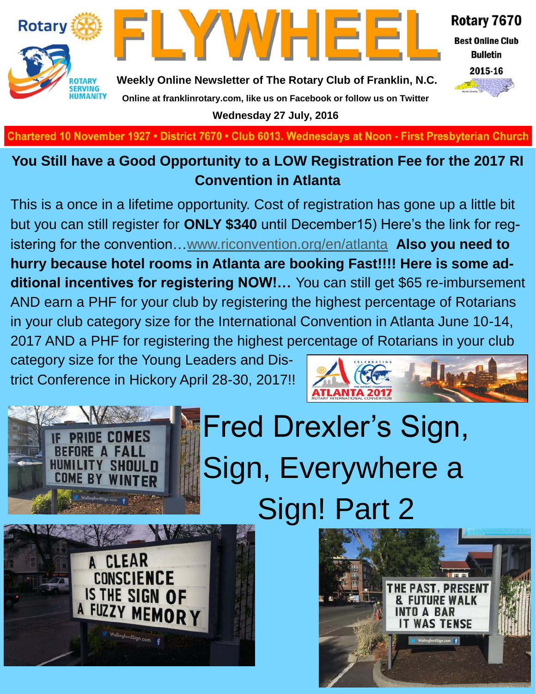



Rotary 7670

**Best Online Club Bulletin** 



**Weekly Online Newsletter of The Rotary Club of Franklin, N.C. Online at franklinrotary.com, like us on Facebook or follow us on Twitter Wednesday 27 July, 2016**

**Charted November 29, 1927 • District 7670 • Club 6013 Wednesdays at Noon - First Presbyterian Church**

### **You Still have a Good Opportunity to a LOW Registration Fee for the 2017 RI Convention in Atlanta**

This is a once in a lifetime opportunity. Cost of registration has gone up a little bit but you can still register for **ONLY \$340** until December15) Here's the link for registering for the convention…[www.riconvention.org/en/atlanta](http://www.riconvention.org/en/atlanta) **Also you need to hurry because hotel rooms in Atlanta are booking Fast!!!! Here is some additional incentives for registering NOW!…** You can still get \$65 re-imbursement AND earn a PHF for your club by registering the highest percentage of Rotarians in your club category size for the International Convention in Atlanta June 10-14, 2017 AND a PHF for registering the highest percentage of Rotarians in your club

category size for the Young Leaders and District Conference in Hickory April 28-30, 2017!!



# Fred Drexler's Sign, Sign, Everywhere a Sign! Part 2



**SHO** 

**COME BY**